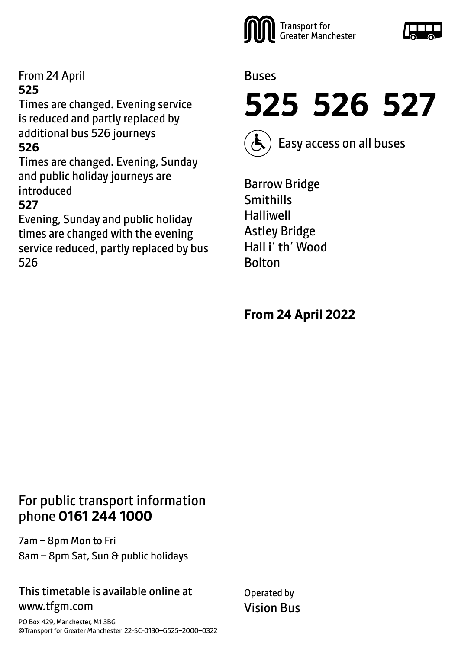#### From 24 April **525**

Times are changed. Evening service is reduced and partly replaced by additional bus 526 journeys **526**

Times are changed. Evening, Sunday and public holiday journeys are introduced

#### **527**

Evening, Sunday and public holiday times are changed with the evening service reduced, partly replaced by bus 526



#### Buses



Easy access on all buses

Barrow Bridge Smithills Halliwell Astley Bridge Hall i' th' Wood Bolton

**From 24 April 2022**

## For public transport information phone **0161 244 1000**

7am – 8pm Mon to Fri 8am – 8pm Sat, Sun & public holidays

#### This timetable is available online at www.tfgm.com

PO Box 429, Manchester, M1 3BG ©Transport for Greater Manchester 22-SC-0130–G525–2000–0322 Operated by Vision Bus

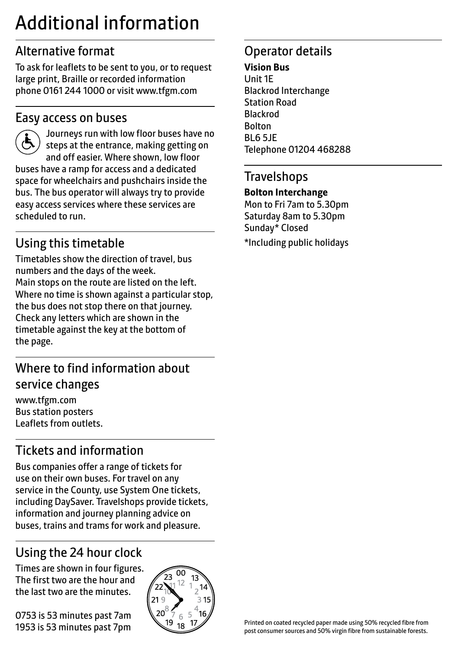## Additional information

## Alternative format

To ask for leaflets to be sent to you, or to request large print, Braille or recorded information phone 0161 244 1000 or visit www.tfgm.com

#### Easy access on buses



 Journeys run with low floor buses have no steps at the entrance, making getting on and off easier. Where shown, low floor buses have a ramp for access and a dedicated space for wheelchairs and pushchairs inside the bus. The bus operator will always try to provide easy access services where these services are scheduled to run.

## Using this timetable

Timetables show the direction of travel, bus numbers and the days of the week. Main stops on the route are listed on the left. Where no time is shown against a particular stop, the bus does not stop there on that journey. Check any letters which are shown in the timetable against the key at the bottom of the page.

## Where to find information about service changes

www.tfgm.com Bus station posters Leaflets from outlets.

## Tickets and information

Bus companies offer a range of tickets for use on their own buses. For travel on any service in the County, use System One tickets, including DaySaver. Travelshops provide tickets, information and journey planning advice on buses, trains and trams for work and pleasure.

## Using the 24 hour clock

Times are shown in four figures. The first two are the hour and the last two are the minutes.

0753 is 53 minutes past 7am 1953 is 53 minutes past 7pm



## Operator details

#### **Vision Bus**

Unit 1E Blackrod Interchange Station Road Blackrod Bolton BL6 5JE Telephone 01204 468288

#### **Travelshops**

#### **Bolton Interchange**

Mon to Fri 7am to 5.30pm Saturday 8am to 5.30pm Sunday\* Closed \*Including public holidays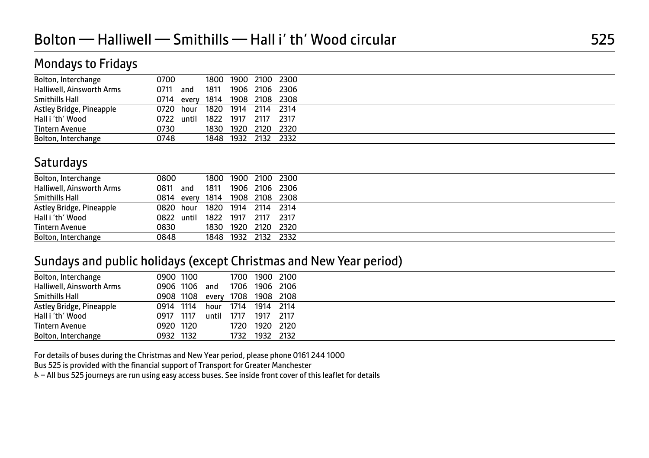| 0700 |                                |      |                                                                                                                                                                     |
|------|--------------------------------|------|---------------------------------------------------------------------------------------------------------------------------------------------------------------------|
| 0711 | 1811                           |      |                                                                                                                                                                     |
|      |                                |      |                                                                                                                                                                     |
|      |                                |      |                                                                                                                                                                     |
|      |                                |      |                                                                                                                                                                     |
| 0730 |                                |      |                                                                                                                                                                     |
|      |                                |      |                                                                                                                                                                     |
|      | and<br>0720 hour<br>0722 until | 0748 | 1800 1900 2100 2300<br>1906 2106 2306<br>0714 every 1814 1908 2108 2308<br>1820 1914 2114 2314<br>1822 1917 2117 2317<br>1830 1920 2120 2320<br>1848 1932 2132 2332 |

#### **Saturdays**

| Bolton, Interchange       | 0800       |            |           | 1800 1900 | 2100 2300           |           |  |
|---------------------------|------------|------------|-----------|-----------|---------------------|-----------|--|
| Halliwell, Ainsworth Arms | 0811       | and        | 1811      | 1906      |                     | 2106 2306 |  |
| Smithills Hall            |            | 0814 every | 1814      |           | 1908 2108 2308      |           |  |
| Astley Bridge, Pineapple  | 0820 hour  |            |           |           | 1820 1914 2114 2314 |           |  |
| Hall i 'th' Wood          | 0822 until |            | 1822 1917 |           | 2117                | - 2317    |  |
| <b>Tintern Avenue</b>     | 0830       |            | 1830      | 1920      | 2120 2320           |           |  |
| Bolton, Interchange       | 0848       |            |           | 1848 1932 |                     | 2132 2332 |  |
|                           |            |            |           |           |                     |           |  |

#### Sundays and public holidays (except Christmas and New Year period)

| Bolton, Interchange       | 0900 1100 |           |       | 1700 | 1900 2100 |           |  |
|---------------------------|-----------|-----------|-------|------|-----------|-----------|--|
| Halliwell, Ainsworth Arms |           | 0906 1106 | and   | 1706 |           | 1906 2106 |  |
| Smithills Hall            |           | 0908 1108 | every | 1708 |           | 1908 2108 |  |
| Astley Bridge, Pineapple  | 0914 1114 |           | hour  | 1714 | 1914 2114 |           |  |
| Hall i 'th' Wood          | 0917      | 1117      | until | 1717 | 1917      | 2117      |  |
| Tintern Avenue            | 0920 1120 |           |       | 1720 | 1920 2120 |           |  |
| Bolton, Interchange       | 0932 1132 |           |       | 1732 | 1932 2132 |           |  |
|                           |           |           |       |      |           |           |  |

For details of buses during the Christmas and New Year period, please phone 0161 244 1000

Bus 525 is provided with the financial support of Transport for Greater Manchester

W– All bus 525 journeys are run using easy access buses. See inside front cover of this leaflet for details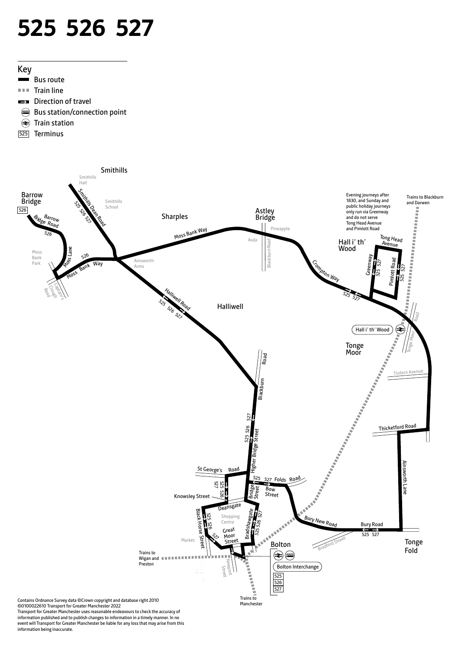# **525 526 527**



- $\sim$ Bus route
- $\mathbb{R} \times \mathbb{R}$ Train line
- E7 Direction of travel
- Bus station/connection point
- Train station
- 525 Terminus



Transport for Greater Manchester uses reasonable endeavours to check the accuracy of information published and to publish changes to information in a timely manner. In no event will Transport for Greater Manchester be liable for any loss that may arise from this information being inaccurate.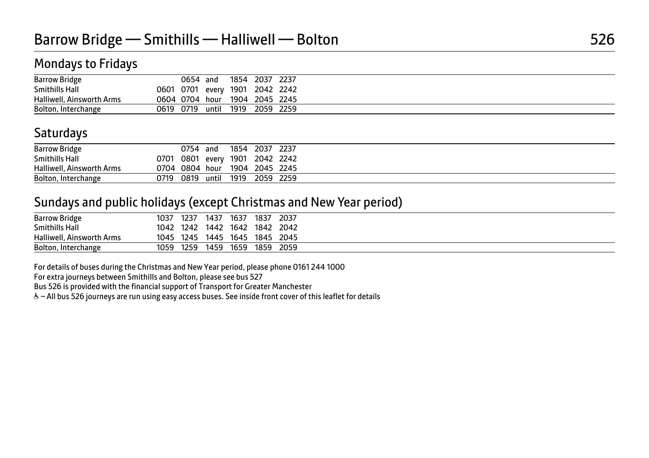| <b>Barrow Bridge</b>      |           | 0654      | and   | 1854 | 2037                 | 2237      |
|---------------------------|-----------|-----------|-------|------|----------------------|-----------|
| Smithills Hall            | 0601      | 0701      |       |      | every 1901 2042 2242 |           |
| Halliwell, Ainsworth Arms |           | 0604 0704 | hour  | 1904 | 2045 2245            |           |
| Bolton, Interchange       | 0619 0719 |           | until | 1919 |                      | 2059 2259 |

## **Saturdays**

| <b>Barrow Bridge</b>      |      | 0754                           | and   | 1854 | 2037      | 2237 |
|---------------------------|------|--------------------------------|-------|------|-----------|------|
| Smithills Hall            |      | 0701 0801 every 1901 2042 2242 |       |      |           |      |
| Halliwell, Ainsworth Arms |      | 0704 0804 hour 1904 2045 2245  |       |      |           |      |
| Bolton, Interchange       | 0719 | 0819                           | until | 1919 | 2059 2259 |      |

#### Sundays and public holidays (except Christmas and New Year period)

| <b>Barrow Bridge</b>      | 1037 | 1237 | 1437 | 1637    | 1837 | 2037  |
|---------------------------|------|------|------|---------|------|-------|
| <b>Smithills Hall</b>     | 1042 | 1242 | 1442 | 1642    | 1842 | 2042  |
| Halliwell, Ainsworth Arms | 1045 | 1245 | 1445 | $-1645$ | 1845 | -2045 |
| Bolton, Interchange       | 1059 | 1259 | 1459 | 1659    | 1859 | 2059  |

For details of buses during the Christmas and New Year period, please phone 0161 244 1000

For extra journeys between Smithills and Bolton, please see bus 527

Bus 526 is provided with the financial support of Transport for Greater Manchester

W– All bus 526 journeys are run using easy access buses. See inside front cover of this leaflet for details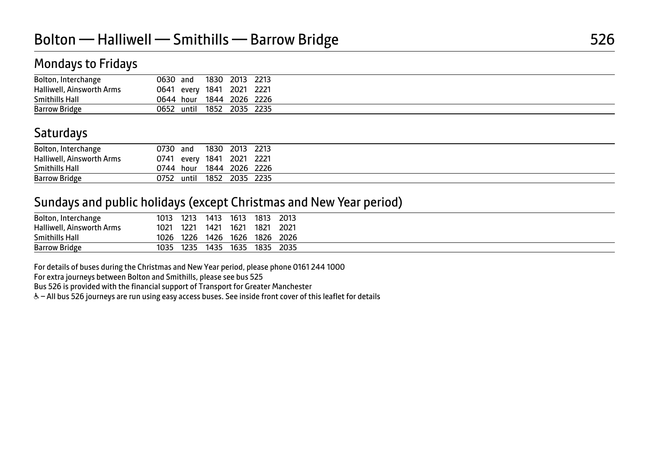| Bolton, Interchange       | 0630 and                  | 1830 | 2013 | 2213                     |
|---------------------------|---------------------------|------|------|--------------------------|
| Halliwell, Ainsworth Arms | 0641 every 1841 2021 2221 |      |      |                          |
| Smithills Hall            |                           |      |      | 0644 hour 1844 2026 2226 |
| <b>Barrow Bridge</b>      | 0652 until 1852 2035 2235 |      |      |                          |

## **Saturdays**

| Bolton, Interchange       | 0730 and |       | 1830                 | 2013 | 2213                     |
|---------------------------|----------|-------|----------------------|------|--------------------------|
| Halliwell, Ainsworth Arms |          |       | 0741 every 1841 2021 |      | 2221                     |
| Smithills Hall            |          |       |                      |      | 0744 hour 1844 2026 2226 |
| <b>Barrow Bridge</b>      | 0752     | until | 1852                 | 2035 | 2235                     |

#### Sundays and public holidays (except Christmas and New Year period)

| Bolton, Interchange       | 1013 | 1213 | 1413 | 1613 | 1813 | 2013 |
|---------------------------|------|------|------|------|------|------|
| Halliwell, Ainsworth Arms | 1021 | 1221 | 1421 | 1621 | 1821 | 2021 |
| <b>Smithills Hall</b>     | 1026 | 1226 | 1426 | 1626 | 1826 | 2026 |
| <b>Barrow Bridge</b>      | 1035 | 1235 | 1435 | 1635 | 1835 | 2035 |

For details of buses during the Christmas and New Year period, please phone 0161 244 1000

For extra journeys between Bolton and Smithills, please see bus 525

Bus 526 is provided with the financial support of Transport for Greater Manchester

W– All bus 526 journeys are run using easy access buses. See inside front cover of this leaflet for details